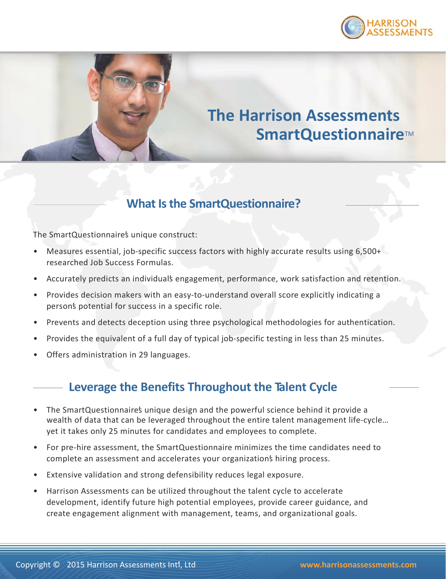



# **The Harrison Assessments SmartQuestionnaire™**

# **What Is the SmartQuestionnaire?**

The SmartQuestionnaire's unique construct:

- Measures essential, job-specific success factors with highly accurate results using 6,500+ researched Job Success Formulas.
- Accurately predicts an individual's engagement, performance, work satisfaction and retention.
- Provides decision makers with an easy-to-understand overall score explicitly indicating a person's potential for success in a specific role.
- Prevents and detects deception using three psychological methodologies for authentication.
- Provides the equivalent of a full day of typical job-specific testing in less than 25 minutes.
- Offers administration in 29 languages.

### **Leverage the Benefits Throughout the Talent Cycle**

- The SmartQuestionnaire's unique design and the powerful science behind it provide a wealth of data that can be leveraged throughout the entire talent management life-cycle… yet it takes only 25 minutes for candidates and employees to complete.
- For pre-hire assessment, the SmartQuestionnaire minimizes the time candidates need to complete an assessment and accelerates your organization's hiring process.
- Extensive validation and strong defensibility reduces legal exposure.
- Harrison Assessments can be utilized throughout the talent cycle to accelerate development, identify future high potential employees, provide career guidance, and create engagement alignment with management, teams, and organizational goals.